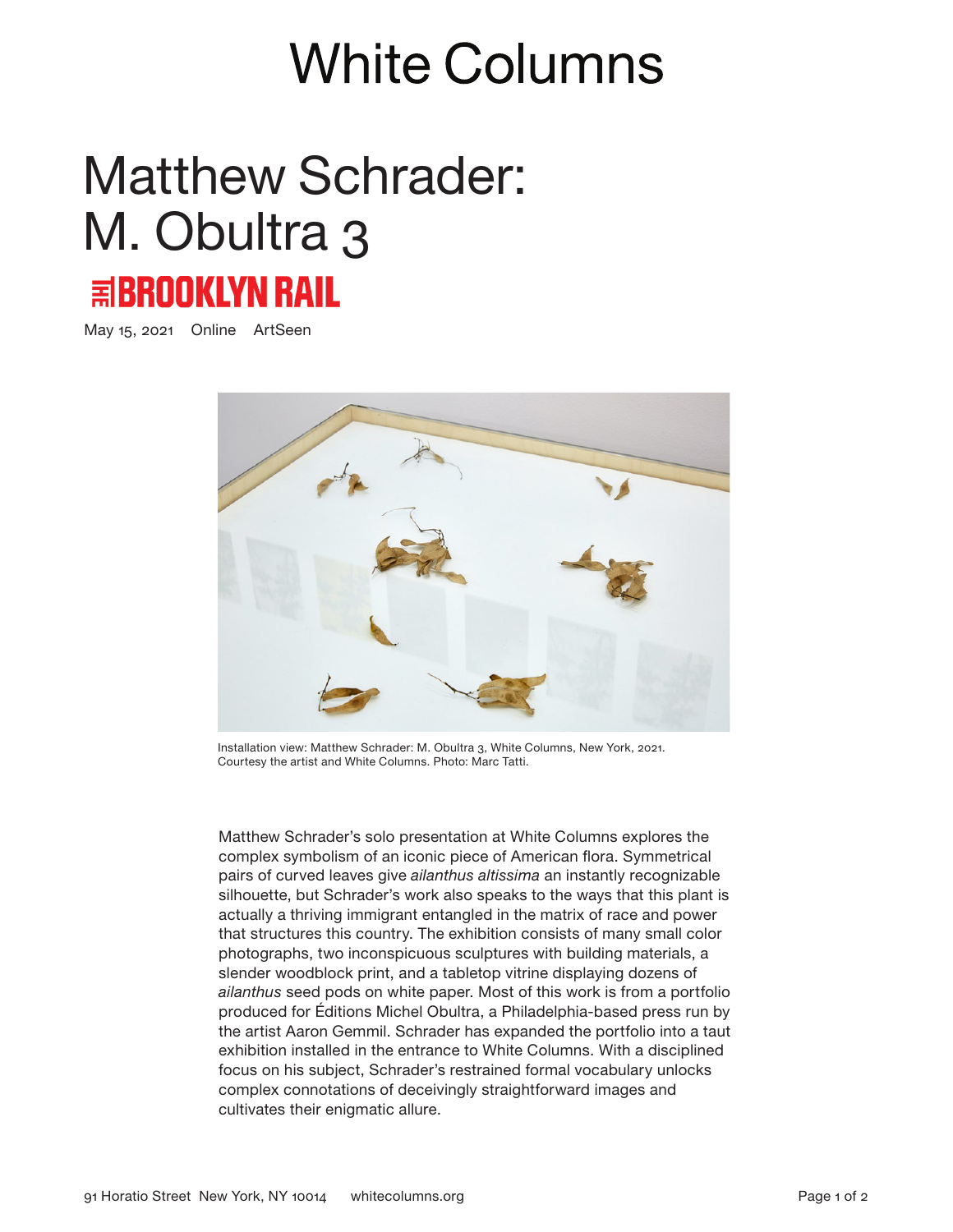## **White Columns**

## Matthew Schrader: M. Obultra 3 **国BROOKLYN RAIL**

May 15, 2021 Online ArtSeen



Installation view: Matthew Schrader: M. Obultra 3, White Columns, New York, 2021. Courtesy the artist and White Columns. Photo: Marc Tatti.

Matthew Schrader's solo presentation at White Columns explores the complex symbolism of an iconic piece of American flora. Symmetrical pairs of curved leaves give *ailanthus altissima* an instantly recognizable silhouette, but Schrader's work also speaks to the ways that this plant is actually a thriving immigrant entangled in the matrix of race and power that structures this country. The exhibition consists of many small color photographs, two inconspicuous sculptures with building materials, a slender woodblock print, and a tabletop vitrine displaying dozens of *ailanthus* seed pods on white paper. Most of this work is from a portfolio produced for Éditions Michel Obultra, a Philadelphia-based press run by the artist Aaron Gemmil. Schrader has expanded the portfolio into a taut exhibition installed in the entrance to White Columns. With a disciplined focus on his subject, Schrader's restrained formal vocabulary unlocks complex connotations of deceivingly straightforward images and cultivates their enigmatic allure.